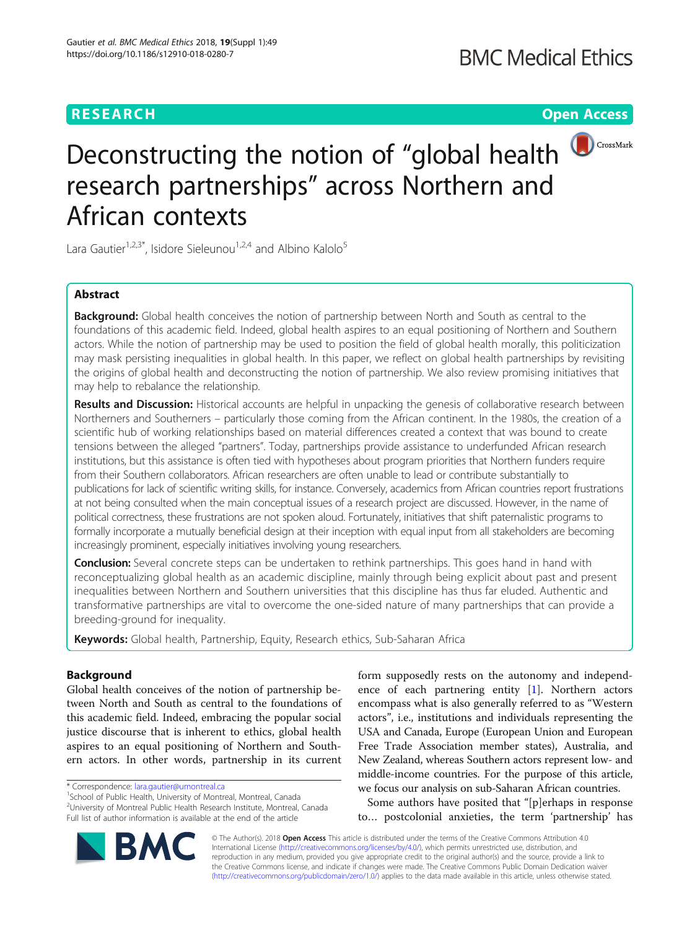# **RESEARCH CHE Open Access**



# Deconstructing the notion of "global health **D**CrossMark research partnerships" across Northern and African contexts

Lara Gautier<sup>1,2,3\*</sup>, Isidore Sieleunou<sup>1,2,4</sup> and Albino Kalolo<sup>5</sup>

# Abstract

**Background:** Global health conceives the notion of partnership between North and South as central to the foundations of this academic field. Indeed, global health aspires to an equal positioning of Northern and Southern actors. While the notion of partnership may be used to position the field of global health morally, this politicization may mask persisting inequalities in global health. In this paper, we reflect on global health partnerships by revisiting the origins of global health and deconstructing the notion of partnership. We also review promising initiatives that may help to rebalance the relationship.

Results and Discussion: Historical accounts are helpful in unpacking the genesis of collaborative research between Northerners and Southerners – particularly those coming from the African continent. In the 1980s, the creation of a scientific hub of working relationships based on material differences created a context that was bound to create tensions between the alleged "partners". Today, partnerships provide assistance to underfunded African research institutions, but this assistance is often tied with hypotheses about program priorities that Northern funders require from their Southern collaborators. African researchers are often unable to lead or contribute substantially to publications for lack of scientific writing skills, for instance. Conversely, academics from African countries report frustrations at not being consulted when the main conceptual issues of a research project are discussed. However, in the name of political correctness, these frustrations are not spoken aloud. Fortunately, initiatives that shift paternalistic programs to formally incorporate a mutually beneficial design at their inception with equal input from all stakeholders are becoming increasingly prominent, especially initiatives involving young researchers.

**Conclusion:** Several concrete steps can be undertaken to rethink partnerships. This goes hand in hand with reconceptualizing global health as an academic discipline, mainly through being explicit about past and present inequalities between Northern and Southern universities that this discipline has thus far eluded. Authentic and transformative partnerships are vital to overcome the one-sided nature of many partnerships that can provide a breeding-ground for inequality.

Keywords: Global health, Partnership, Equity, Research ethics, Sub-Saharan Africa

# Background

Global health conceives of the notion of partnership between North and South as central to the foundations of this academic field. Indeed, embracing the popular social justice discourse that is inherent to ethics, global health aspires to an equal positioning of Northern and Southern actors. In other words, partnership in its current

<sup>1</sup>School of Public Health, University of Montreal, Montreal, Canada <sup>2</sup>University of Montreal Public Health Research Institute, Montreal, Canada Full list of author information is available at the end of the article

form supposedly rests on the autonomy and independence of each partnering entity [\[1](#page-6-0)]. Northern actors encompass what is also generally referred to as "Western actors", i.e., institutions and individuals representing the USA and Canada, Europe (European Union and European Free Trade Association member states), Australia, and New Zealand, whereas Southern actors represent low- and middle-income countries. For the purpose of this article, we focus our analysis on sub-Saharan African countries.

Some authors have posited that "[p]erhaps in response to… postcolonial anxieties, the term 'partnership' has

© The Author(s). 2018 Open Access This article is distributed under the terms of the Creative Commons Attribution 4.0 International License [\(http://creativecommons.org/licenses/by/4.0/](http://creativecommons.org/licenses/by/4.0/)), which permits unrestricted use, distribution, and reproduction in any medium, provided you give appropriate credit to the original author(s) and the source, provide a link to the Creative Commons license, and indicate if changes were made. The Creative Commons Public Domain Dedication waiver [\(http://creativecommons.org/publicdomain/zero/1.0/](http://creativecommons.org/publicdomain/zero/1.0/)) applies to the data made available in this article, unless otherwise stated.



<sup>\*</sup> Correspondence: [lara.gautier@umontreal.ca](mailto:lara.gautier@umontreal.ca) <sup>1</sup>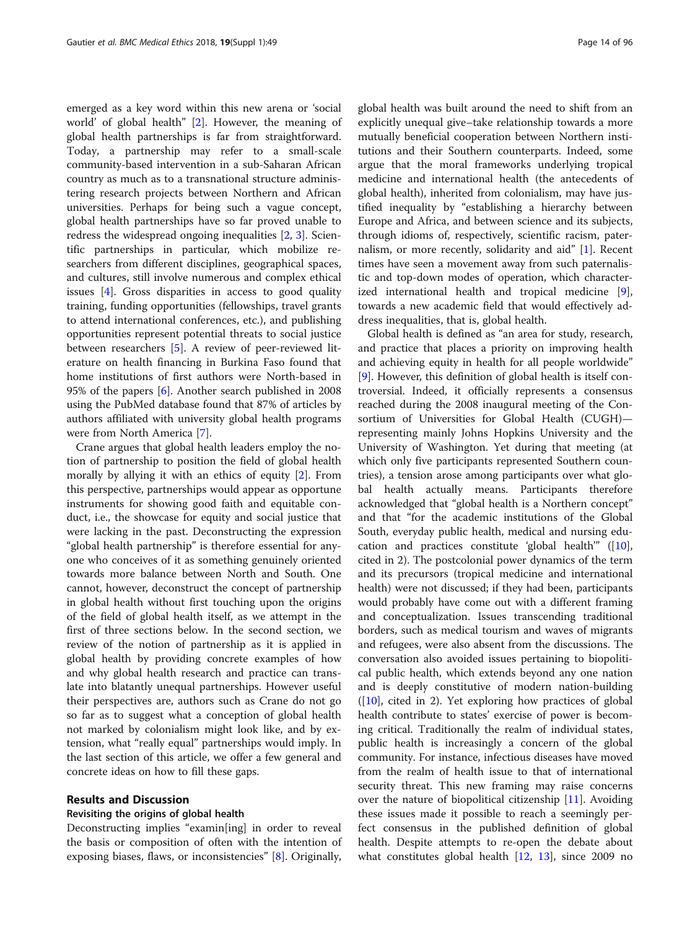emerged as a key word within this new arena or 'social world' of global health" [\[2](#page-6-0)]. However, the meaning of global health partnerships is far from straightforward. Today, a partnership may refer to a small-scale community-based intervention in a sub-Saharan African country as much as to a transnational structure administering research projects between Northern and African universities. Perhaps for being such a vague concept, global health partnerships have so far proved unable to redress the widespread ongoing inequalities [[2,](#page-6-0) [3\]](#page-6-0). Scientific partnerships in particular, which mobilize researchers from different disciplines, geographical spaces, and cultures, still involve numerous and complex ethical issues [[4\]](#page-6-0). Gross disparities in access to good quality training, funding opportunities (fellowships, travel grants to attend international conferences, etc.), and publishing opportunities represent potential threats to social justice between researchers [\[5](#page-6-0)]. A review of peer-reviewed literature on health financing in Burkina Faso found that home institutions of first authors were North-based in 95% of the papers [\[6\]](#page-6-0). Another search published in 2008 using the PubMed database found that 87% of articles by authors affiliated with university global health programs were from North America [\[7](#page-6-0)].

Crane argues that global health leaders employ the notion of partnership to position the field of global health morally by allying it with an ethics of equity [\[2](#page-6-0)]. From this perspective, partnerships would appear as opportune instruments for showing good faith and equitable conduct, i.e., the showcase for equity and social justice that were lacking in the past. Deconstructing the expression "global health partnership" is therefore essential for anyone who conceives of it as something genuinely oriented towards more balance between North and South. One cannot, however, deconstruct the concept of partnership in global health without first touching upon the origins of the field of global health itself, as we attempt in the first of three sections below. In the second section, we review of the notion of partnership as it is applied in global health by providing concrete examples of how and why global health research and practice can translate into blatantly unequal partnerships. However useful their perspectives are, authors such as Crane do not go so far as to suggest what a conception of global health not marked by colonialism might look like, and by extension, what "really equal" partnerships would imply. In the last section of this article, we offer a few general and concrete ideas on how to fill these gaps.

#### Results and Discussion

#### Revisiting the origins of global health

Deconstructing implies "examin[ing] in order to reveal the basis or composition of often with the intention of exposing biases, flaws, or inconsistencies" [\[8](#page-6-0)]. Originally, global health was built around the need to shift from an explicitly unequal give–take relationship towards a more mutually beneficial cooperation between Northern institutions and their Southern counterparts. Indeed, some argue that the moral frameworks underlying tropical medicine and international health (the antecedents of global health), inherited from colonialism, may have justified inequality by "establishing a hierarchy between Europe and Africa, and between science and its subjects, through idioms of, respectively, scientific racism, paternalism, or more recently, solidarity and aid" [[1\]](#page-6-0). Recent times have seen a movement away from such paternalistic and top-down modes of operation, which characterized international health and tropical medicine [\[9](#page-6-0)], towards a new academic field that would effectively address inequalities, that is, global health.

Global health is defined as "an area for study, research, and practice that places a priority on improving health and achieving equity in health for all people worldwide" [[9\]](#page-6-0). However, this definition of global health is itself controversial. Indeed, it officially represents a consensus reached during the 2008 inaugural meeting of the Consortium of Universities for Global Health (CUGH) representing mainly Johns Hopkins University and the University of Washington. Yet during that meeting (at which only five participants represented Southern countries), a tension arose among participants over what global health actually means. Participants therefore acknowledged that "global health is a Northern concept" and that "for the academic institutions of the Global South, everyday public health, medical and nursing education and practices constitute 'global health'" ([\[10](#page-6-0)], cited in 2). The postcolonial power dynamics of the term and its precursors (tropical medicine and international health) were not discussed; if they had been, participants would probably have come out with a different framing and conceptualization. Issues transcending traditional borders, such as medical tourism and waves of migrants and refugees, were also absent from the discussions. The conversation also avoided issues pertaining to biopolitical public health, which extends beyond any one nation and is deeply constitutive of modern nation-building  $([10]$  $([10]$ , cited in 2). Yet exploring how practices of global health contribute to states' exercise of power is becoming critical. Traditionally the realm of individual states, public health is increasingly a concern of the global community. For instance, infectious diseases have moved from the realm of health issue to that of international security threat. This new framing may raise concerns over the nature of biopolitical citizenship [\[11](#page-6-0)]. Avoiding these issues made it possible to reach a seemingly perfect consensus in the published definition of global health. Despite attempts to re-open the debate about what constitutes global health [\[12,](#page-6-0) [13\]](#page-6-0), since 2009 no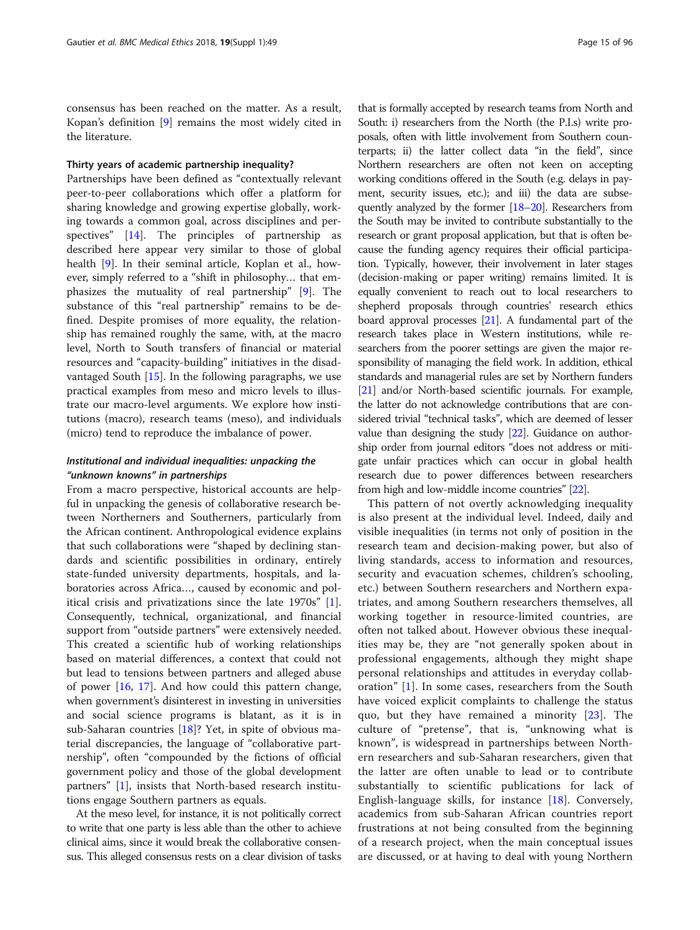consensus has been reached on the matter. As a result, Kopan's definition [[9\]](#page-6-0) remains the most widely cited in the literature.

# Thirty years of academic partnership inequality?

Partnerships have been defined as "contextually relevant peer-to-peer collaborations which offer a platform for sharing knowledge and growing expertise globally, working towards a common goal, across disciplines and perspectives" [\[14\]](#page-6-0). The principles of partnership as described here appear very similar to those of global health [\[9](#page-6-0)]. In their seminal article, Koplan et al., however, simply referred to a "shift in philosophy… that emphasizes the mutuality of real partnership" [[9\]](#page-6-0). The substance of this "real partnership" remains to be defined. Despite promises of more equality, the relationship has remained roughly the same, with, at the macro level, North to South transfers of financial or material resources and "capacity-building" initiatives in the disadvantaged South [\[15\]](#page-6-0). In the following paragraphs, we use practical examples from meso and micro levels to illustrate our macro-level arguments. We explore how institutions (macro), research teams (meso), and individuals (micro) tend to reproduce the imbalance of power.

# Institutional and individual inequalities: unpacking the "unknown knowns" in partnerships

From a macro perspective, historical accounts are helpful in unpacking the genesis of collaborative research between Northerners and Southerners, particularly from the African continent. Anthropological evidence explains that such collaborations were "shaped by declining standards and scientific possibilities in ordinary, entirely state-funded university departments, hospitals, and laboratories across Africa…, caused by economic and political crisis and privatizations since the late 1970s" [\[1](#page-6-0)]. Consequently, technical, organizational, and financial support from "outside partners" were extensively needed. This created a scientific hub of working relationships based on material differences, a context that could not but lead to tensions between partners and alleged abuse of power [\[16](#page-6-0), [17\]](#page-6-0). And how could this pattern change, when government's disinterest in investing in universities and social science programs is blatant, as it is in sub-Saharan countries [[18](#page-6-0)]? Yet, in spite of obvious material discrepancies, the language of "collaborative partnership", often "compounded by the fictions of official government policy and those of the global development partners" [[1\]](#page-6-0), insists that North-based research institutions engage Southern partners as equals.

At the meso level, for instance, it is not politically correct to write that one party is less able than the other to achieve clinical aims, since it would break the collaborative consensus. This alleged consensus rests on a clear division of tasks

that is formally accepted by research teams from North and South: i) researchers from the North (the P.I.s) write proposals, often with little involvement from Southern counterparts; ii) the latter collect data "in the field", since Northern researchers are often not keen on accepting working conditions offered in the South (e.g. delays in payment, security issues, etc.); and iii) the data are subsequently analyzed by the former [\[18](#page-6-0)–[20](#page-6-0)]. Researchers from the South may be invited to contribute substantially to the research or grant proposal application, but that is often because the funding agency requires their official participation. Typically, however, their involvement in later stages (decision-making or paper writing) remains limited. It is equally convenient to reach out to local researchers to shepherd proposals through countries' research ethics board approval processes [[21](#page-7-0)]. A fundamental part of the research takes place in Western institutions, while researchers from the poorer settings are given the major responsibility of managing the field work. In addition, ethical standards and managerial rules are set by Northern funders [[21](#page-7-0)] and/or North-based scientific journals. For example, the latter do not acknowledge contributions that are considered trivial "technical tasks", which are deemed of lesser value than designing the study [[22\]](#page-7-0). Guidance on authorship order from journal editors "does not address or mitigate unfair practices which can occur in global health research due to power differences between researchers from high and low-middle income countries" [\[22\]](#page-7-0).

This pattern of not overtly acknowledging inequality is also present at the individual level. Indeed, daily and visible inequalities (in terms not only of position in the research team and decision-making power, but also of living standards, access to information and resources, security and evacuation schemes, children's schooling, etc.) between Southern researchers and Northern expatriates, and among Southern researchers themselves, all working together in resource-limited countries, are often not talked about. However obvious these inequalities may be, they are "not generally spoken about in professional engagements, although they might shape personal relationships and attitudes in everyday collaboration" [\[1](#page-6-0)]. In some cases, researchers from the South have voiced explicit complaints to challenge the status quo, but they have remained a minority [\[23](#page-7-0)]. The culture of "pretense", that is, "unknowing what is known", is widespread in partnerships between Northern researchers and sub-Saharan researchers, given that the latter are often unable to lead or to contribute substantially to scientific publications for lack of English-language skills, for instance [[18\]](#page-6-0). Conversely, academics from sub-Saharan African countries report frustrations at not being consulted from the beginning of a research project, when the main conceptual issues are discussed, or at having to deal with young Northern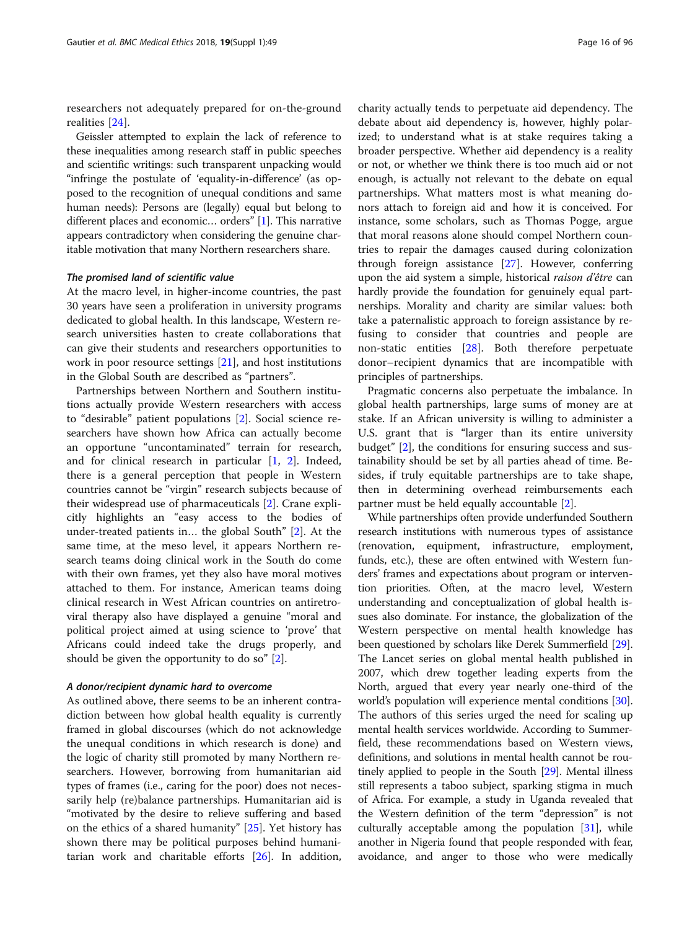researchers not adequately prepared for on-the-ground realities [\[24](#page-7-0)].

Geissler attempted to explain the lack of reference to these inequalities among research staff in public speeches and scientific writings: such transparent unpacking would "infringe the postulate of 'equality-in-difference' (as opposed to the recognition of unequal conditions and same human needs): Persons are (legally) equal but belong to different places and economic… orders" [\[1\]](#page-6-0). This narrative appears contradictory when considering the genuine charitable motivation that many Northern researchers share.

#### The promised land of scientific value

At the macro level, in higher-income countries, the past 30 years have seen a proliferation in university programs dedicated to global health. In this landscape, Western research universities hasten to create collaborations that can give their students and researchers opportunities to work in poor resource settings [\[21\]](#page-7-0), and host institutions in the Global South are described as "partners".

Partnerships between Northern and Southern institutions actually provide Western researchers with access to "desirable" patient populations [\[2](#page-6-0)]. Social science researchers have shown how Africa can actually become an opportune "uncontaminated" terrain for research, and for clinical research in particular [[1,](#page-6-0) [2](#page-6-0)]. Indeed, there is a general perception that people in Western countries cannot be "virgin" research subjects because of their widespread use of pharmaceuticals [[2\]](#page-6-0). Crane explicitly highlights an "easy access to the bodies of under-treated patients in… the global South" [\[2](#page-6-0)]. At the same time, at the meso level, it appears Northern research teams doing clinical work in the South do come with their own frames, yet they also have moral motives attached to them. For instance, American teams doing clinical research in West African countries on antiretroviral therapy also have displayed a genuine "moral and political project aimed at using science to 'prove' that Africans could indeed take the drugs properly, and should be given the opportunity to do so" [\[2](#page-6-0)].

#### A donor/recipient dynamic hard to overcome

As outlined above, there seems to be an inherent contradiction between how global health equality is currently framed in global discourses (which do not acknowledge the unequal conditions in which research is done) and the logic of charity still promoted by many Northern researchers. However, borrowing from humanitarian aid types of frames (i.e., caring for the poor) does not necessarily help (re)balance partnerships. Humanitarian aid is "motivated by the desire to relieve suffering and based on the ethics of a shared humanity" [[25](#page-7-0)]. Yet history has shown there may be political purposes behind humanitarian work and charitable efforts [[26\]](#page-7-0). In addition, charity actually tends to perpetuate aid dependency. The debate about aid dependency is, however, highly polarized; to understand what is at stake requires taking a broader perspective. Whether aid dependency is a reality or not, or whether we think there is too much aid or not enough, is actually not relevant to the debate on equal partnerships. What matters most is what meaning donors attach to foreign aid and how it is conceived. For instance, some scholars, such as Thomas Pogge, argue that moral reasons alone should compel Northern countries to repair the damages caused during colonization through foreign assistance [[27](#page-7-0)]. However, conferring upon the aid system a simple, historical *raison d'être* can hardly provide the foundation for genuinely equal partnerships. Morality and charity are similar values: both take a paternalistic approach to foreign assistance by refusing to consider that countries and people are non-static entities [\[28](#page-7-0)]. Both therefore perpetuate donor–recipient dynamics that are incompatible with principles of partnerships.

Pragmatic concerns also perpetuate the imbalance. In global health partnerships, large sums of money are at stake. If an African university is willing to administer a U.S. grant that is "larger than its entire university budget" [\[2](#page-6-0)], the conditions for ensuring success and sustainability should be set by all parties ahead of time. Besides, if truly equitable partnerships are to take shape, then in determining overhead reimbursements each partner must be held equally accountable [\[2](#page-6-0)].

While partnerships often provide underfunded Southern research institutions with numerous types of assistance (renovation, equipment, infrastructure, employment, funds, etc.), these are often entwined with Western funders' frames and expectations about program or intervention priorities. Often, at the macro level, Western understanding and conceptualization of global health issues also dominate. For instance, the globalization of the Western perspective on mental health knowledge has been questioned by scholars like Derek Summerfield [[29](#page-7-0)]. The Lancet series on global mental health published in 2007, which drew together leading experts from the North, argued that every year nearly one-third of the world's population will experience mental conditions [[30](#page-7-0)]. The authors of this series urged the need for scaling up mental health services worldwide. According to Summerfield, these recommendations based on Western views, definitions, and solutions in mental health cannot be routinely applied to people in the South [\[29\]](#page-7-0). Mental illness still represents a taboo subject, sparking stigma in much of Africa. For example, a study in Uganda revealed that the Western definition of the term "depression" is not culturally acceptable among the population [\[31\]](#page-7-0), while another in Nigeria found that people responded with fear, avoidance, and anger to those who were medically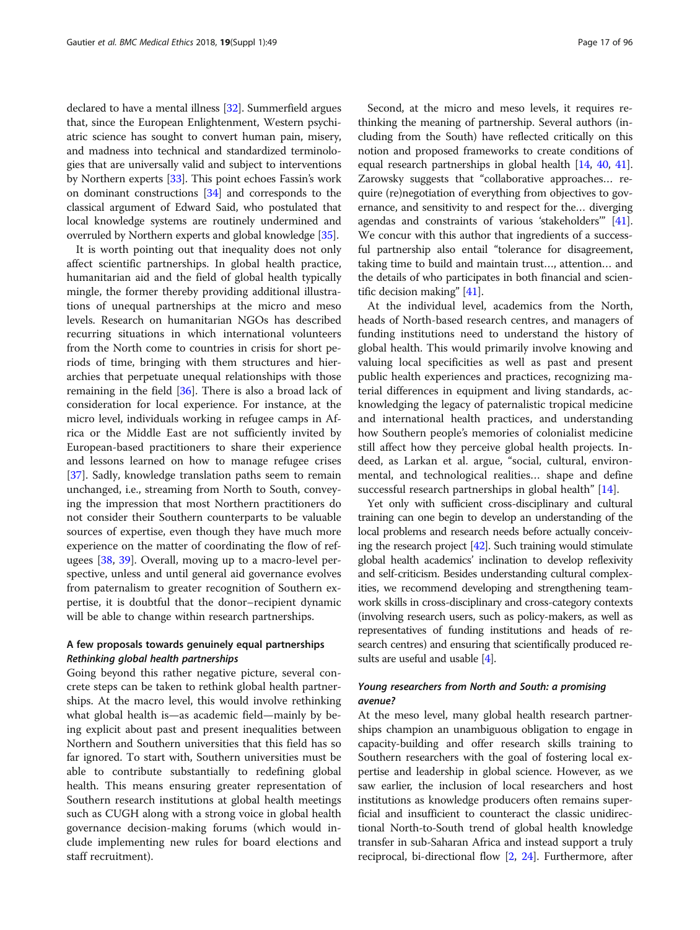declared to have a mental illness [\[32\]](#page-7-0). Summerfield argues that, since the European Enlightenment, Western psychiatric science has sought to convert human pain, misery, and madness into technical and standardized terminologies that are universally valid and subject to interventions by Northern experts [[33](#page-7-0)]. This point echoes Fassin's work on dominant constructions [\[34\]](#page-7-0) and corresponds to the classical argument of Edward Said, who postulated that local knowledge systems are routinely undermined and overruled by Northern experts and global knowledge [[35](#page-7-0)].

It is worth pointing out that inequality does not only affect scientific partnerships. In global health practice, humanitarian aid and the field of global health typically mingle, the former thereby providing additional illustrations of unequal partnerships at the micro and meso levels. Research on humanitarian NGOs has described recurring situations in which international volunteers from the North come to countries in crisis for short periods of time, bringing with them structures and hierarchies that perpetuate unequal relationships with those remaining in the field [\[36\]](#page-7-0). There is also a broad lack of consideration for local experience. For instance, at the micro level, individuals working in refugee camps in Africa or the Middle East are not sufficiently invited by European-based practitioners to share their experience and lessons learned on how to manage refugee crises [[37\]](#page-7-0). Sadly, knowledge translation paths seem to remain unchanged, i.e., streaming from North to South, conveying the impression that most Northern practitioners do not consider their Southern counterparts to be valuable sources of expertise, even though they have much more experience on the matter of coordinating the flow of refugees [[38,](#page-7-0) [39](#page-7-0)]. Overall, moving up to a macro-level perspective, unless and until general aid governance evolves from paternalism to greater recognition of Southern expertise, it is doubtful that the donor–recipient dynamic will be able to change within research partnerships.

# A few proposals towards genuinely equal partnerships Rethinking global health partnerships

Going beyond this rather negative picture, several concrete steps can be taken to rethink global health partnerships. At the macro level, this would involve rethinking what global health is—as academic field—mainly by being explicit about past and present inequalities between Northern and Southern universities that this field has so far ignored. To start with, Southern universities must be able to contribute substantially to redefining global health. This means ensuring greater representation of Southern research institutions at global health meetings such as CUGH along with a strong voice in global health governance decision-making forums (which would include implementing new rules for board elections and staff recruitment).

Second, at the micro and meso levels, it requires rethinking the meaning of partnership. Several authors (including from the South) have reflected critically on this notion and proposed frameworks to create conditions of equal research partnerships in global health [\[14,](#page-6-0) [40,](#page-7-0) [41](#page-7-0)]. Zarowsky suggests that "collaborative approaches… require (re)negotiation of everything from objectives to governance, and sensitivity to and respect for the… diverging agendas and constraints of various 'stakeholders'" [[41](#page-7-0)]. We concur with this author that ingredients of a successful partnership also entail "tolerance for disagreement, taking time to build and maintain trust…, attention… and the details of who participates in both financial and scientific decision making" [[41](#page-7-0)].

At the individual level, academics from the North, heads of North-based research centres, and managers of funding institutions need to understand the history of global health. This would primarily involve knowing and valuing local specificities as well as past and present public health experiences and practices, recognizing material differences in equipment and living standards, acknowledging the legacy of paternalistic tropical medicine and international health practices, and understanding how Southern people's memories of colonialist medicine still affect how they perceive global health projects. Indeed, as Larkan et al. argue, "social, cultural, environmental, and technological realities… shape and define successful research partnerships in global health" [[14\]](#page-6-0).

Yet only with sufficient cross-disciplinary and cultural training can one begin to develop an understanding of the local problems and research needs before actually conceiving the research project [\[42\]](#page-7-0). Such training would stimulate global health academics' inclination to develop reflexivity and self-criticism. Besides understanding cultural complexities, we recommend developing and strengthening teamwork skills in cross-disciplinary and cross-category contexts (involving research users, such as policy-makers, as well as representatives of funding institutions and heads of research centres) and ensuring that scientifically produced results are useful and usable [[4](#page-6-0)].

# Young researchers from North and South: a promising avenue?

At the meso level, many global health research partnerships champion an unambiguous obligation to engage in capacity-building and offer research skills training to Southern researchers with the goal of fostering local expertise and leadership in global science. However, as we saw earlier, the inclusion of local researchers and host institutions as knowledge producers often remains superficial and insufficient to counteract the classic unidirectional North-to-South trend of global health knowledge transfer in sub-Saharan Africa and instead support a truly reciprocal, bi-directional flow [[2,](#page-6-0) [24\]](#page-7-0). Furthermore, after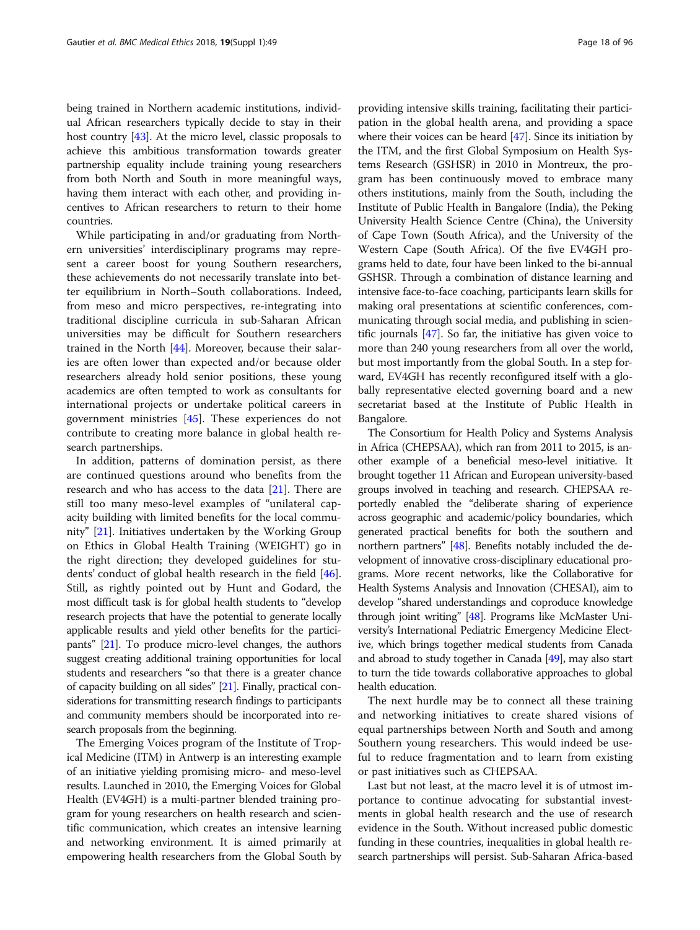being trained in Northern academic institutions, individual African researchers typically decide to stay in their host country [\[43](#page-7-0)]. At the micro level, classic proposals to achieve this ambitious transformation towards greater partnership equality include training young researchers from both North and South in more meaningful ways, having them interact with each other, and providing incentives to African researchers to return to their home countries.

While participating in and/or graduating from Northern universities' interdisciplinary programs may represent a career boost for young Southern researchers, these achievements do not necessarily translate into better equilibrium in North–South collaborations. Indeed, from meso and micro perspectives, re-integrating into traditional discipline curricula in sub-Saharan African universities may be difficult for Southern researchers trained in the North [[44](#page-7-0)]. Moreover, because their salaries are often lower than expected and/or because older researchers already hold senior positions, these young academics are often tempted to work as consultants for international projects or undertake political careers in government ministries [\[45\]](#page-7-0). These experiences do not contribute to creating more balance in global health research partnerships.

In addition, patterns of domination persist, as there are continued questions around who benefits from the research and who has access to the data [[21](#page-7-0)]. There are still too many meso-level examples of "unilateral capacity building with limited benefits for the local community" [[21](#page-7-0)]. Initiatives undertaken by the Working Group on Ethics in Global Health Training (WEIGHT) go in the right direction; they developed guidelines for students' conduct of global health research in the field [\[46](#page-7-0)]. Still, as rightly pointed out by Hunt and Godard, the most difficult task is for global health students to "develop research projects that have the potential to generate locally applicable results and yield other benefits for the participants" [\[21\]](#page-7-0). To produce micro-level changes, the authors suggest creating additional training opportunities for local students and researchers "so that there is a greater chance of capacity building on all sides" [\[21](#page-7-0)]. Finally, practical considerations for transmitting research findings to participants and community members should be incorporated into research proposals from the beginning.

The Emerging Voices program of the Institute of Tropical Medicine (ITM) in Antwerp is an interesting example of an initiative yielding promising micro- and meso-level results. Launched in 2010, the Emerging Voices for Global Health (EV4GH) is a multi-partner blended training program for young researchers on health research and scientific communication, which creates an intensive learning and networking environment. It is aimed primarily at empowering health researchers from the Global South by

providing intensive skills training, facilitating their participation in the global health arena, and providing a space where their voices can be heard [\[47\]](#page-7-0). Since its initiation by the ITM, and the first Global Symposium on Health Systems Research (GSHSR) in 2010 in Montreux, the program has been continuously moved to embrace many others institutions, mainly from the South, including the Institute of Public Health in Bangalore (India), the Peking University Health Science Centre (China), the University of Cape Town (South Africa), and the University of the Western Cape (South Africa). Of the five EV4GH programs held to date, four have been linked to the bi-annual GSHSR. Through a combination of distance learning and intensive face-to-face coaching, participants learn skills for making oral presentations at scientific conferences, communicating through social media, and publishing in scientific journals  $[47]$ . So far, the initiative has given voice to more than 240 young researchers from all over the world, but most importantly from the global South. In a step forward, EV4GH has recently reconfigured itself with a globally representative elected governing board and a new secretariat based at the Institute of Public Health in Bangalore.

The Consortium for Health Policy and Systems Analysis in Africa (CHEPSAA), which ran from 2011 to 2015, is another example of a beneficial meso-level initiative. It brought together 11 African and European university-based groups involved in teaching and research. CHEPSAA reportedly enabled the "deliberate sharing of experience across geographic and academic/policy boundaries, which generated practical benefits for both the southern and northern partners" [\[48](#page-7-0)]. Benefits notably included the development of innovative cross-disciplinary educational programs. More recent networks, like the Collaborative for Health Systems Analysis and Innovation (CHESAI), aim to develop "shared understandings and coproduce knowledge through joint writing" [\[48\]](#page-7-0). Programs like McMaster University's International Pediatric Emergency Medicine Elective, which brings together medical students from Canada and abroad to study together in Canada [\[49](#page-7-0)], may also start to turn the tide towards collaborative approaches to global health education.

The next hurdle may be to connect all these training and networking initiatives to create shared visions of equal partnerships between North and South and among Southern young researchers. This would indeed be useful to reduce fragmentation and to learn from existing or past initiatives such as CHEPSAA.

Last but not least, at the macro level it is of utmost importance to continue advocating for substantial investments in global health research and the use of research evidence in the South. Without increased public domestic funding in these countries, inequalities in global health research partnerships will persist. Sub-Saharan Africa-based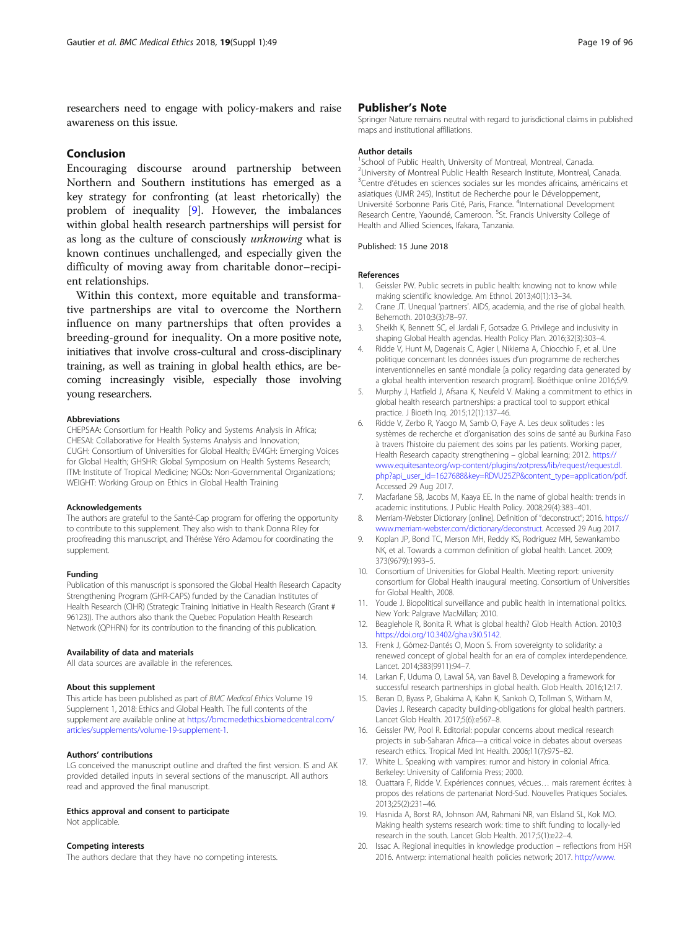<span id="page-6-0"></span>researchers need to engage with policy-makers and raise awareness on this issue.

# Conclusion

Encouraging discourse around partnership between Northern and Southern institutions has emerged as a key strategy for confronting (at least rhetorically) the problem of inequality [9]. However, the imbalances within global health research partnerships will persist for as long as the culture of consciously unknowing what is known continues unchallenged, and especially given the difficulty of moving away from charitable donor–recipient relationships.

Within this context, more equitable and transformative partnerships are vital to overcome the Northern influence on many partnerships that often provides a breeding-ground for inequality. On a more positive note, initiatives that involve cross-cultural and cross-disciplinary training, as well as training in global health ethics, are becoming increasingly visible, especially those involving young researchers.

#### Abbreviations

CHEPSAA: Consortium for Health Policy and Systems Analysis in Africa; CHESAI: Collaborative for Health Systems Analysis and Innovation; CUGH: Consortium of Universities for Global Health; EV4GH: Emerging Voices for Global Health; GHSHR: Global Symposium on Health Systems Research; ITM: Institute of Tropical Medicine; NGOs: Non-Governmental Organizations; WEIGHT: Working Group on Ethics in Global Health Training

#### Acknowledgements

The authors are grateful to the Santé-Cap program for offering the opportunity to contribute to this supplement. They also wish to thank Donna Riley for proofreading this manuscript, and Thérèse Yéro Adamou for coordinating the supplement.

#### Funding

Publication of this manuscript is sponsored the Global Health Research Capacity Strengthening Program (GHR-CAPS) funded by the Canadian Institutes of Health Research (CIHR) (Strategic Training Initiative in Health Research (Grant # 96123)). The authors also thank the Quebec Population Health Research Network (QPHRN) for its contribution to the financing of this publication.

#### Availability of data and materials

All data sources are available in the references.

#### About this supplement

This article has been published as part of BMC Medical Ethics Volume 19 Supplement 1, 2018: Ethics and Global Health. The full contents of the supplement are available online at [https://bmcmedethics.biomedcentral.com/](https://bmcmedethics.biomedcentral.com/articles/supplements/volume-19-supplement-1) [articles/supplements/volume-19-supplement-1.](https://bmcmedethics.biomedcentral.com/articles/supplements/volume-19-supplement-1)

#### Authors' contributions

LG conceived the manuscript outline and drafted the first version. IS and AK provided detailed inputs in several sections of the manuscript. All authors read and approved the final manuscript.

#### Ethics approval and consent to participate

Not applicable.

#### Competing interests

The authors declare that they have no competing interests.

### Publisher's Note

Springer Nature remains neutral with regard to jurisdictional claims in published maps and institutional affiliations.

#### Author details

<sup>1</sup>School of Public Health, University of Montreal, Montreal, Canada. <sup>2</sup>University of Montreal Public Health Research Institute, Montreal, Canada. <sup>3</sup>Centre d'études en sciences sociales sur les mondes africains, américains et asiatiques (UMR 245), Institut de Recherche pour le Développement, Université Sorbonne Paris Cité, Paris, France. <sup>4</sup>International Development Research Centre, Yaoundé, Cameroon. <sup>5</sup>St. Francis University College of Health and Allied Sciences, Ifakara, Tanzania.

#### Published: 15 June 2018

#### References

- 1. Geissler PW. Public secrets in public health: knowing not to know while making scientific knowledge. Am Ethnol. 2013;40(1):13–34.
- 2. Crane JT. Unequal 'partners'. AIDS, academia, and the rise of global health. Behemoth. 2010;3(3):78–97.
- 3. Sheikh K, Bennett SC, el Jardali F, Gotsadze G. Privilege and inclusivity in shaping Global Health agendas. Health Policy Plan. 2016;32(3):303–4.
- 4. Ridde V, Hunt M, Dagenais C, Agier I, Nikiema A, Chiocchio F, et al. Une politique concernant les données issues d'un programme de recherches interventionnelles en santé mondiale [a policy regarding data generated by a global health intervention research program]. Bioéthique online 2016;5/9.
- 5. Murphy J, Hatfield J, Afsana K, Neufeld V. Making a commitment to ethics in global health research partnerships: a practical tool to support ethical practice. J Bioeth Inq. 2015;12(1):137–46.
- 6. Ridde V, Zerbo R, Yaogo M, Samb O, Faye A. Les deux solitudes : les systèmes de recherche et d'organisation des soins de santé au Burkina Faso à travers l'histoire du paiement des soins par les patients. Working paper, Health Research capacity strengthening – global learning; 2012. [https://](https://www.equitesante.org/wp-content/plugins/zotpress/lib/request/request.dl.php?api_user_id=1627688&key=RDVU25ZP&content_type=application/pdf) [www.equitesante.org/wp-content/plugins/zotpress/lib/request/request.dl.](https://www.equitesante.org/wp-content/plugins/zotpress/lib/request/request.dl.php?api_user_id=1627688&key=RDVU25ZP&content_type=application/pdf) [php?api\\_user\\_id=1627688&key=RDVU25ZP&content\\_type=application/pdf.](https://www.equitesante.org/wp-content/plugins/zotpress/lib/request/request.dl.php?api_user_id=1627688&key=RDVU25ZP&content_type=application/pdf) Accessed 29 Aug 2017.
- 7. Macfarlane SB, Jacobs M, Kaaya EE. In the name of global health: trends in academic institutions. J Public Health Policy. 2008;29(4):383–401.
- 8. Merriam-Webster Dictionary [online]. Definition of "deconstruct"; 2016. [https://](https://www.merriam-webster.com/dictionary/deconstruct) [www.merriam-webster.com/dictionary/deconstruct](https://www.merriam-webster.com/dictionary/deconstruct). Accessed 29 Aug 2017.
- Koplan JP, Bond TC, Merson MH, Reddy KS, Rodriguez MH, Sewankambo NK, et al. Towards a common definition of global health. Lancet. 2009; 373(9679):1993–5.
- 10. Consortium of Universities for Global Health. Meeting report: university consortium for Global Health inaugural meeting. Consortium of Universities for Global Health, 2008.
- 11. Youde J. Biopolitical surveillance and public health in international politics. New York: Palgrave MacMillan; 2010.
- 12. Beaglehole R, Bonita R. What is global health? Glob Health Action. 2010;3 <https://doi.org/10.3402/gha.v3i0.5142>.
- 13. Frenk J, Gómez-Dantés O, Moon S. From sovereignty to solidarity: a renewed concept of global health for an era of complex interdependence. Lancet. 2014;383(9911):94–7.
- 14. Larkan F, Uduma O, Lawal SA, van Bavel B. Developing a framework for successful research partnerships in global health. Glob Health. 2016;12:17.
- 15. Beran D, Byass P, Gbakima A, Kahn K, Sankoh O, Tollman S, Witham M, Davies J. Research capacity building-obligations for global health partners. Lancet Glob Health. 2017;5(6):e567–8.
- 16. Geissler PW, Pool R. Editorial: popular concerns about medical research projects in sub-Saharan Africa—a critical voice in debates about overseas research ethics. Tropical Med Int Health. 2006;11(7):975–82.
- 17. White L. Speaking with vampires: rumor and history in colonial Africa. Berkeley: University of California Press; 2000.
- 18. Ouattara F, Ridde V. Expériences connues, vécues… mais rarement écrites: à propos des relations de partenariat Nord-Sud. Nouvelles Pratiques Sociales. 2013;25(2):231–46.
- 19. Hasnida A, Borst RA, Johnson AM, Rahmani NR, van Elsland SL, Kok MO. Making health systems research work: time to shift funding to locally-led research in the south. Lancet Glob Health. 2017;5(1):e22–4.
- 20. Issac A. Regional inequities in knowledge production reflections from HSR 2016. Antwerp: international health policies network; 2017. [http://www.](http://www.internationalhealthpolicies.org/regional-inequities-in-knowledge-production-reflections-from-hsr-2016/)